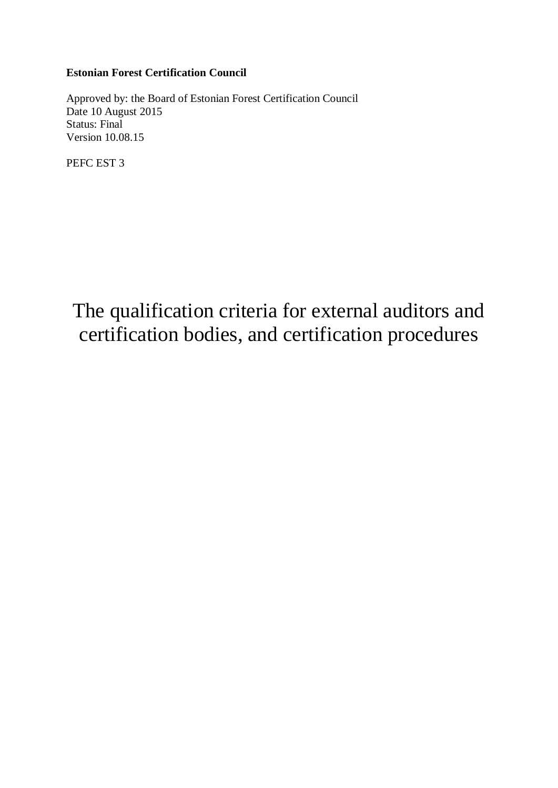# **Estonian Forest Certification Council**

Approved by: the Board of Estonian Forest Certification Council Date 10 August 2015 Status: Final Version 10.08.15

PEFC EST 3

# The qualification criteria for external auditors and certification bodies, and certification procedures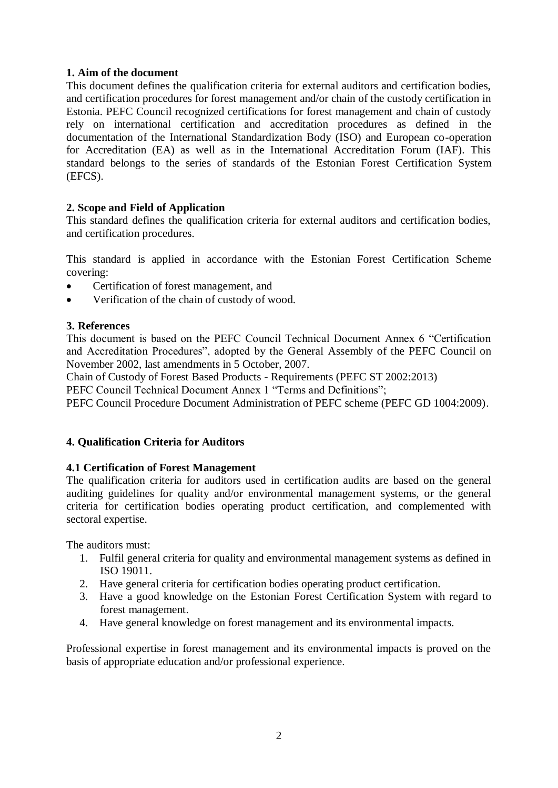## **1. Aim of the document**

This document defines the qualification criteria for external auditors and certification bodies, and certification procedures for forest management and/or chain of the custody certification in Estonia. PEFC Council recognized certifications for forest management and chain of custody rely on international certification and accreditation procedures as defined in the documentation of the International Standardization Body (ISO) and European co-operation for Accreditation (EA) as well as in the International Accreditation Forum (IAF). This standard belongs to the series of standards of the Estonian Forest Certification System (EFCS).

# **2. Scope and Field of Application**

This standard defines the qualification criteria for external auditors and certification bodies, and certification procedures.

This standard is applied in accordance with the Estonian Forest Certification Scheme covering:

- Certification of forest management, and
- Verification of the chain of custody of wood.

#### **3. References**

This document is based on the PEFC Council Technical Document Annex 6 "Certification and Accreditation Procedures", adopted by the General Assembly of the PEFC Council on November 2002, last amendments in 5 October, 2007.

Chain of Custody of Forest Based Products - Requirements (PEFC ST 2002:2013)

PEFC Council Technical Document Annex 1 "Terms and Definitions";

PEFC Council Procedure Document Administration of PEFC scheme (PEFC GD 1004:2009).

## **4. Qualification Criteria for Auditors**

## **4.1 Certification of Forest Management**

The qualification criteria for auditors used in certification audits are based on the general auditing guidelines for quality and/or environmental management systems, or the general criteria for certification bodies operating product certification, and complemented with sectoral expertise.

The auditors must:

- 1. Fulfil general criteria for quality and environmental management systems as defined in ISO 19011.
- 2. Have general criteria for certification bodies operating product certification.
- 3. Have a good knowledge on the Estonian Forest Certification System with regard to forest management.
- 4. Have general knowledge on forest management and its environmental impacts.

Professional expertise in forest management and its environmental impacts is proved on the basis of appropriate education and/or professional experience.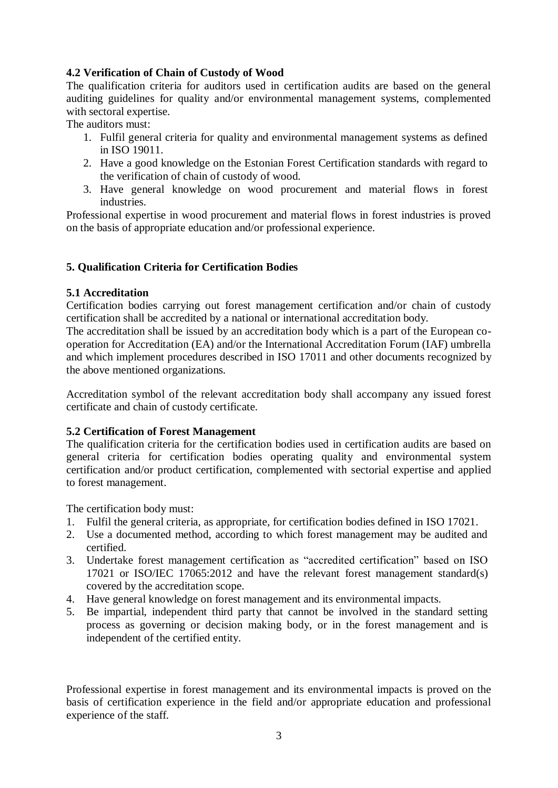## **4.2 Verification of Chain of Custody of Wood**

The qualification criteria for auditors used in certification audits are based on the general auditing guidelines for quality and/or environmental management systems, complemented with sectoral expertise.

The auditors must:

- 1. Fulfil general criteria for quality and environmental management systems as defined in ISO 19011.
- 2. Have a good knowledge on the Estonian Forest Certification standards with regard to the verification of chain of custody of wood.
- 3. Have general knowledge on wood procurement and material flows in forest industries.

Professional expertise in wood procurement and material flows in forest industries is proved on the basis of appropriate education and/or professional experience.

## **5. Qualification Criteria for Certification Bodies**

#### **5.1 Accreditation**

Certification bodies carrying out forest management certification and/or chain of custody certification shall be accredited by a national or international accreditation body.

The accreditation shall be issued by an accreditation body which is a part of the European cooperation for Accreditation (EA) and/or the International Accreditation Forum (IAF) umbrella and which implement procedures described in ISO 17011 and other documents recognized by the above mentioned organizations.

Accreditation symbol of the relevant accreditation body shall accompany any issued forest certificate and chain of custody certificate.

## **5.2 Certification of Forest Management**

The qualification criteria for the certification bodies used in certification audits are based on general criteria for certification bodies operating quality and environmental system certification and/or product certification, complemented with sectorial expertise and applied to forest management.

The certification body must:

- 1. Fulfil the general criteria, as appropriate, for certification bodies defined in ISO 17021.
- 2. Use a documented method, according to which forest management may be audited and certified.
- 3. Undertake forest management certification as "accredited certification" based on ISO 17021 or ISO/IEC 17065:2012 and have the relevant forest management standard(s) covered by the accreditation scope.
- 4. Have general knowledge on forest management and its environmental impacts.
- 5. Be impartial, independent third party that cannot be involved in the standard setting process as governing or decision making body, or in the forest management and is independent of the certified entity.

Professional expertise in forest management and its environmental impacts is proved on the basis of certification experience in the field and/or appropriate education and professional experience of the staff.